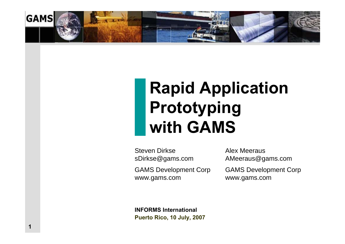

# **Rapid Application Prototyping with GAMS**

Steven DirksesDirkse@gams.com

GAMS Develop ment Corp www.ga ms.com

Alex MeerausAMeeraus@gams.com

GAMS Develop ment Corp www.ga ms.com

**INFORMS InternationalPuerto Rico, 10 July, 2007**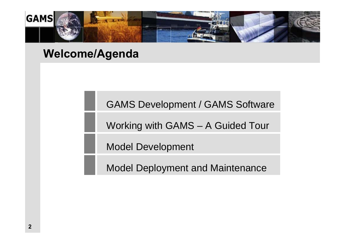

#### **Welcome/Agenda**

GAMS Development / GAMS Software

Working with GAMS – A Guided Tour

Model Development

Model Deployment and Maintenance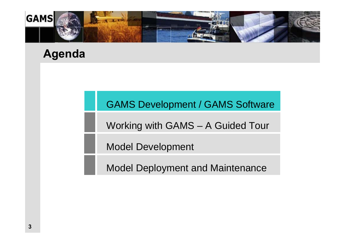

#### **Agenda**

#### GAMS Development / GAMS Software

Working with GAMS – A Guided Tour

Model Development

Model Deployment and Maintenance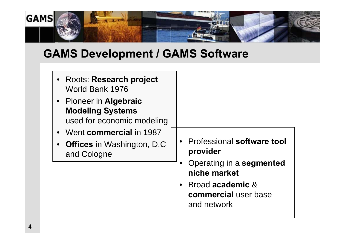

#### **GAMS Development / GAMS Software**

| • Roots: Research project<br>World Bank 1976<br>• Pioneer in Algebraic<br><b>Modeling Systems</b><br>used for economic modeling |                                                                                                                                                            |
|---------------------------------------------------------------------------------------------------------------------------------|------------------------------------------------------------------------------------------------------------------------------------------------------------|
| • Went commercial in 1987<br>• Offices in Washington, D.C<br>and Cologne                                                        | • Professional software tool<br>provider<br>• Operating in a segmented<br>niche market<br>• Broad academic &<br><b>commercial</b> user base<br>and network |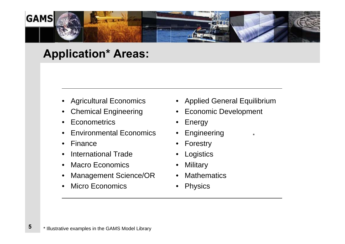

#### **Application\* Areas:**

- $\bullet$ Agricultural Economics
- •Chemical Engineering
- •**Econometrics**
- •Environmental Economics
- •Finance
- •International Trade
- $\bullet$ Macro Economics
- •Management Science/OR
- •Micro Economics

• Applied General Equilibrium

\*

- •Economic Development
- •Energy
- •Engineering
- •Forestry
- •**Logistics**
- •**Military**
- •**Mathematics**
- •Physics

**5**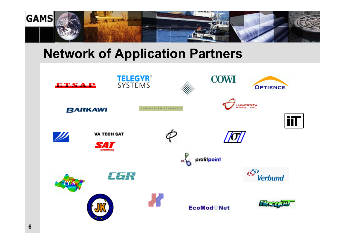

### **Network of Application Partners**

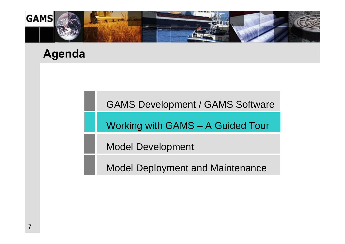

#### **Agenda**

GAMS Development / GAMS Software

Working with GAMS – A Guided Tour

Model Development

Model Deployment and Maintenance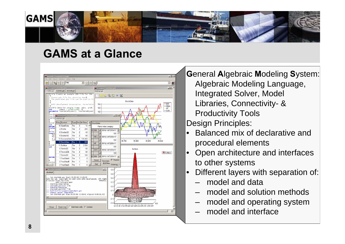

#### **GAMS at a Glance**



**G**eneral **A**lgebraic **M**odeling **S**ystem: Algebraic Modeling Language, Integrated Solver, Model Libraries, Connectivity- & Productivity Tools Design Principles:

- • Balanced mix of declarative and procedural elements
- • Open architecture and interfaces to other systems
- • Different layers with separation of:
	- –model and data
	- –model and solution methods
	- –model and operating system
	- –model and interface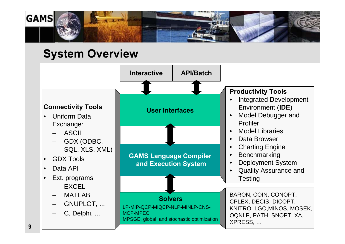

#### **System Overview**

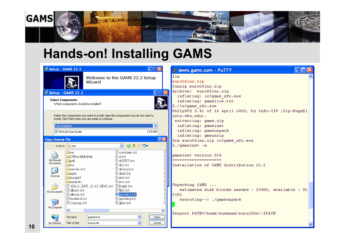

# **Hands-on! Installing GAMS**

| <sup>18</sup> Setup - GAMS 22.2                    |                                                                                                                                                         | $\square \square \boxtimes$                                                                                                       |                  | <b>E</b> lewis.gams.com - PuTTY                                                                                                         |  |
|----------------------------------------------------|---------------------------------------------------------------------------------------------------------------------------------------------------------|-----------------------------------------------------------------------------------------------------------------------------------|------------------|-----------------------------------------------------------------------------------------------------------------------------------------|--|
|                                                    | Wizard                                                                                                                                                  | Welcome to the GAMS 22.2 Setup                                                                                                    |                  | $ s_{1s} $<br>euro06lnx.zip<br>\$unzip euro06lnx.zip                                                                                    |  |
|                                                    | <sup>1</sup> B Setup - GAMS 22.2                                                                                                                        |                                                                                                                                   | $\square\square$ | Archive: euro06lnx.zip                                                                                                                  |  |
| <b>Select Components</b>                           | Which components should be installed?                                                                                                                   |                                                                                                                                   |                  | inflating: 1x3gams sfx.exe<br>inflating: gamslice.txt<br>\$./1x3gams sfx.exe<br>UnZipSFX 5.41 of 16 April 2000, by Info-ZIP (Zip-Bugs@1 |  |
| Full installation                                  | Select the components you want to install; clear the components you do not want to<br>install. Click Next when you are ready to continue.               | $\checkmark$                                                                                                                      |                  | ists.wku.edu).<br>extracting: gams.zip<br>inflating: gamsinst                                                                           |  |
|                                                    | McCarl User Guide                                                                                                                                       | 13.5 MB                                                                                                                           |                  | inflating: gamsunpack                                                                                                                   |  |
| <b>Copy license file</b>                           |                                                                                                                                                         |                                                                                                                                   | $[2]$ $\Sigma$   | inflating: gmsunzip                                                                                                                     |  |
|                                                    |                                                                                                                                                         |                                                                                                                                   |                  | \$rm euro06lnx.zip lx3gams sfx.exe                                                                                                      |  |
|                                                    | Look in: <b>O</b> tmp                                                                                                                                   | $O$ $O$ $O$ $E$ $E$ $T$<br>$\vee$                                                                                                 |                  | $\frac{1}{2}$ ./qamsinst -a                                                                                                             |  |
| Ó<br>My Recent<br><b>Documents</b><br>C<br>Desktop | <b>Co</b> oe<br><b>O</b> Office-Bibliothek<br><b>Opril</b><br><b>la</b> rui<br>$Sserver-4.0$<br><b>E</b> spec<br><b>Ca</b> sunarid<br><b>O</b> wizardry | <b>E</b> currstate.txt<br>圓d.txt<br>圓 dc5557.txt<br>$\Box$ dict.txt<br>dictorg.txt<br>$\Box$ distd.txt<br>圓 eins.txt<br>圓 env.txt |                  | gamsinst version 034<br>--------------------<br>Installation of GAMS distribution 22.2                                                  |  |
| My Documents                                       | <b>D</b> 100x2_2005_12-13_NEXC.txt D Ergeb.txt<br><b>B</b> album.txt<br>l III allruns.txt<br><b>D</b> bestbnd.txt                                       | $\Box$ file 2.txt<br>gamslice.txt<br>$\Box$ gamslog.txt                                                                           |                  | Unpacking GAMS<br>estimated disk blocks needed : 20480, available : 92<br>3181                                                          |  |
| My Computer                                        | <b>E</b> cogroup.txt<br>$\left\vert \left\langle \right\vert \right\vert$<br>gamslice.txt<br>File name:                                                 | $\Box$ gilow.txt<br>×<br>Open                                                                                                     | $\rightarrow$    | executing--> ./gamsunpack<br>Sexport PATH=/home/susanne/euro2006/:\$PATH                                                                |  |
| My Network                                         | Files of type:<br>license file                                                                                                                          | $\overline{\mathbf{v}}$<br>Cancel                                                                                                 |                  |                                                                                                                                         |  |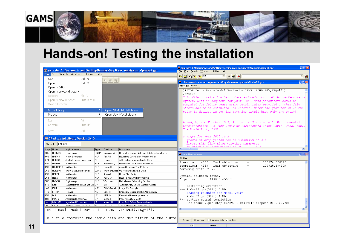

# **Hands-on! Testing the installation**

|                                                                   | File Edit Search Windows Utilities Help                                             |                           |                               | <b>PE</b> gamside: C:\Documents and Settings\bussieck\My Documents\gamsdir\project.gpr                     | $\Box$ o $\boxtimes$<br><sup>106</sup> gamside: C:\Documents and Settings\bussieckWy Documents\gamsdir\project.gpr<br>File Edit Search Windows Utilities Help<br>$\mathbb{E} \mathcal{E}_{\mathbf{a}} \mathcal{E} \mathcal{E}_{\mathbf{a}} $ call<br>□ 8%<br>B                                                                                                                                                                         |
|-------------------------------------------------------------------|-------------------------------------------------------------------------------------|---------------------------|-------------------------------|------------------------------------------------------------------------------------------------------------|----------------------------------------------------------------------------------------------------------------------------------------------------------------------------------------------------------------------------------------------------------------------------------------------------------------------------------------------------------------------------------------------------------------------------------------|
| New<br>Open<br>Open in Editor                                     | $Ctr$ $H$<br>$Ctrl + O$                                                             |                           | $a \big  \bigoplus  B  \big $ |                                                                                                            | $\Box \Box X$<br><b>PE</b> c:\documents and settings\bussieck\my documents\gamsdir\indus89.gms<br>indus89.gms indus89.lst                                                                                                                                                                                                                                                                                                              |
| Reopen<br>Open in New Window<br>View in Explorer<br>Model Library | Open in project directory<br>$Alt + R$<br>Shift+Ctrl+O                              |                           |                               | Open GAMS Model Library                                                                                    | STITLE Indus Basin Model Revised - IBMR (INDUS89, SEQ=181)<br>Sontext<br>This file contains the basic data and definition of the surface water<br>system. Data is complete for year 1988. Some parameters could be<br>computed for future years using growth rates provided in this file,<br>others had to be estimated and entered. Enter the year for which the<br>setup is desired in set isr (set isr should have only one entry). |
| Project<br>Run.<br>Compile<br>Save<br>Cove in Hoiv formet         | F9.<br>Shift+F9<br>$CtrI + S$                                                       |                           |                               | Open User Model Library                                                                                    | Ahmad, M, and Kutcher, G P, Irrigation Planning with Environmental<br>Considerations - A Case Study of Pakistans's Indus Basin. Tech. rep.<br>The World Bank, 1992.                                                                                                                                                                                                                                                                    |
| Search   indus89                                                  | <b>PE GAMS Model Library Version 24.0</b>                                           |                           |                               |                                                                                                            | changes for year 2000 runs<br>qrowth of crop yields set to a maximum of 3 %<br>insert this line after growthcy parameter<br>$arcsuth_{CV}/c$ als/creather/c al at 31 = 3.0.<br>$\leq$<br>$\rightarrow$                                                                                                                                                                                                                                 |
| SeqNr Name +                                                      |                                                                                     |                           |                               |                                                                                                            |                                                                                                                                                                                                                                                                                                                                                                                                                                        |
|                                                                   | Application Area                                                                    | Type                      | Contributor                   | Description                                                                                                |                                                                                                                                                                                                                                                                                                                                                                                                                                        |
| <b>HERVES</b><br>305<br><b>HHFAIR</b><br>069                      | Engineering<br>Macro Economics                                                      | <b>DNLP</b><br><b>NLP</b> | Fair, R.C.                    | Meeraus, W H Herves (Transposable Element) Activity Calculations<br>Household Optimization Problem by Fair | $\Box$ $\times$<br><b>IDE</b> No active process                                                                                                                                                                                                                                                                                                                                                                                        |
| 274<br>HHMAX                                                      | Applied General Equilibrium                                                         | NLP                       | Hosoe, N                      | A Household Maximization Problem                                                                           | indus89                                                                                                                                                                                                                                                                                                                                                                                                                                |
| HIMMEL11<br>095                                                   | Mathematics                                                                         | <b>NLP</b>                | Himmelblau.                   | Himmelblau Test Problem Number 11                                                                          | Iteration: 4085<br>Dual objective<br>115074.076725<br>$\overline{\phantom{a}}$<br>$=$<br>$=$                                                                                                                                                                                                                                                                                                                                           |
| 036                                                               | HIMMEL16 Mathematics                                                                | NLP                       | Himmelblau,                   | Area of Hexagon Test Problem                                                                               | Iteration: 4183<br>Dual objective<br>114925.604909<br>Removing shift (17).                                                                                                                                                                                                                                                                                                                                                             |
| 262<br>HOLIDAY<br><b>HOUSE</b>                                    | GAMS Language Features<br><b>Mathematics</b>                                        | GAMS<br>NLP               | Borland                       | GAMS Develop US Holiday and Leave Chart                                                                    |                                                                                                                                                                                                                                                                                                                                                                                                                                        |
| 099<br><b>HS62</b><br>264                                         | <b>Mathematics</b>                                                                  | <b>NLP</b>                | Hock, W                       | House Plan Design<br>Hock - Schittkowski Problem 62                                                        | Optimal solution found.                                                                                                                                                                                                                                                                                                                                                                                                                |
| 167<br>HYDRO                                                      | Engineering                                                                         | NLP                       | Wood, A J                     | Hydrothermal Scheduling Problem                                                                            | Objective :<br>114873.655552                                                                                                                                                                                                                                                                                                                                                                                                           |
| IBM1<br>079                                                       | Management Science and OR LP                                                        |                           | <b>IBM</b>                    | Aluminum Alloy Smelter Sample Problem                                                                      | --- Restarting execution                                                                                                                                                                                                                                                                                                                                                                                                               |
| 160<br><b>ICUT</b>                                                | <b>Mathematics</b>                                                                  | MIP                       |                               | GAMS Develop Integer Cut Example                                                                           | --- indus89.gms(3621) 0 Mb                                                                                                                                                                                                                                                                                                                                                                                                             |
| <b>IMMUN</b><br>110                                               | Finance                                                                             | <b>NLP</b><br>LP.         | Dahl, H                       | Financial Optimization: Risk Management                                                                    | --- Reading solution for model wsisn                                                                                                                                                                                                                                                                                                                                                                                                   |
| <b>IMSL</b><br>059<br><b>INDUS</b><br>090                         | <b>Mathematics</b><br>Agricultural Economics                                        | LP                        | IMSL Inc.<br>Dulov, J H       | Piecewise Linear Approximation<br>Indus Agricultural Model                                                 | $---$ indus89.gms(3621) 4 Mb                                                                                                                                                                                                                                                                                                                                                                                                           |
| INDUS89<br>181                                                    | Agricultural Economics                                                              | lLP.                      | Ahmad, M                      | Indus Basin Water Resource Model                                                                           | *** Status: Normal completion<br>--- Job indus89.gms Stop 06/29/06 04:59:12 elapsed 0:00:02.724                                                                                                                                                                                                                                                                                                                                        |
| 001<br><b>Incccr</b>                                              | <u> La partidad especial e profitado de la</u><br> Indus Basin Model Revised - IBMR | lau ni                    | <u> 111 - - - - Mill</u>      | A PPF Model with Pools Possoos<br>$(INDUS89, SEQ=181)$                                                     | ₹                                                                                                                                                                                                                                                                                                                                                                                                                                      |
|                                                                   |                                                                                     |                           |                               | This file contains the basic data and definition of the surfall                                            | □ Summary only 区 Update<br>Close<br>Open Log                                                                                                                                                                                                                                                                                                                                                                                           |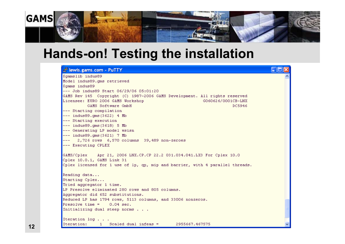

### **Hands-on! Testing the installation**

#### ∩©⊠ et lewis.gams.com - PuTTY Sqamslib indus89 Model indus89.cms retrieved Sqams indus89  $---$  Job indus89 Start 06/29/06 05:01:20 GAMS Rev 145 Copyright (C) 1987-2006 GAMS Development. All rights reserved Licensee: EURO 2006 GAMS Workshop G060626/0001CB-LNX GAMS Software GmbH DC5946 --- Starting compilation  $---$  indus89.cms(3622) 4 Mb --- Starting execution  $---$  indus89.cms (3618) 5 Mb --- Generating LP model wsisn  $---$  indus89.cms (3621) 7 Mb  $-- 2,726$  rows 6,570 columns 39,489 non-zeroes --- Executing CPLEX GAMS/Cplex Apr 21, 2006 LNX.CP.CP 22.2 031.034.041.LX3 For Cplex 10.0 Cplex 10.0.1, GAMS Link 31 Cplex licensed for 1 use of 1p, qp, mip and barrier, with 4 parallel threads. Reading data... Starting Cplex... Tried accrecator 1 time. LP Presolve eliminated 280 rows and 805 columns. Aggregator did 652 substitutions. Reduced LP has 1794 rows, 5113 columns, and 33006 nonzeros. Presolve time =  $0.04$  sec. Initializing dual steep norms . . . Iteration log . . . Iteration: 1 Scaled dual infeas = 2955667.467575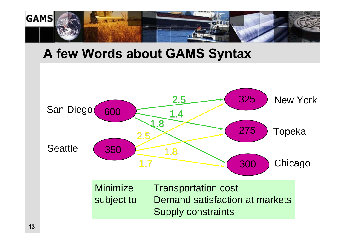

#### **A few Words about GAMS Syntax**

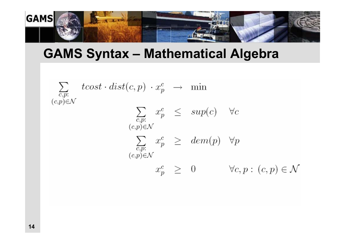

### **GAMS Syntax – Mathematical Algebra**

$$
\sum_{\substack{c,p:\\c,p\\c,p\in\mathcal{N}}} tcost \cdot dist(c,p) \cdot x_p^c \rightarrow \min
$$
\n
$$
\sum_{\substack{c,p:\\(c,p)\in\mathcal{N}}} x_p^c \le sup(c) \quad \forall c
$$
\n
$$
\sum_{\substack{c,p:\\(c,p)\in\mathcal{N}}} x_p^c \ge dem(p) \quad \forall p
$$
\n
$$
x_p^c \ge 0 \qquad \forall c,p:(c,p)\in\mathcal{N}
$$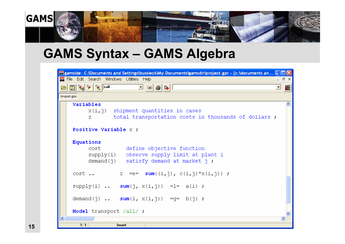

# **GAMS Syntax – GAMS Algebra**

| <b>Pf</b> gamside: C:\Documents and Settings\bussieckWy Documents\gamsdir\project.gpr - [c:\documents an _  _  _                                                                                                                                                                                                                                                                                                                                                                                                                       |                  |   |
|----------------------------------------------------------------------------------------------------------------------------------------------------------------------------------------------------------------------------------------------------------------------------------------------------------------------------------------------------------------------------------------------------------------------------------------------------------------------------------------------------------------------------------------|------------------|---|
| <b>PE</b> File Edit Search Windows Utilities Help                                                                                                                                                                                                                                                                                                                                                                                                                                                                                      | $ \Box$ $\times$ |   |
| $\begin{array}{ c c c }\hline \mathbb{R} & \mathbb{R} & \mathbb{R} & \mathbb{R} \\ \hline \mathbb{R} & \mathbb{R} & \mathbb{R} & \mathbb{R} \\ \hline \mathbb{R} & \mathbb{R} & \mathbb{R} & \mathbb{R} \\ \hline \mathbb{R} & \mathbb{R} & \mathbb{R} & \mathbb{R} & \mathbb{R} \\ \hline \mathbb{R} & \mathbb{R} & \mathbb{R} & \mathbb{R} & \mathbb{R} \\ \hline \mathbb{R} & \mathbb{R} & \mathbb{R} & \mathbb{R} & \mathbb{R} & \$<br>$\boxed{\blacksquare}$ (a) $\textcircled{\small{a}}$ $\textcircled{\small{b}}$<br>$\bullet$ |                  | 巖 |
| trnsport.gms                                                                                                                                                                                                                                                                                                                                                                                                                                                                                                                           |                  |   |
| Variables<br>$X(i, j)$ shipment quantities in cases<br>total transportation costs in thousands of dollars :<br>z                                                                                                                                                                                                                                                                                                                                                                                                                       |                  |   |
| Positive Variable x :                                                                                                                                                                                                                                                                                                                                                                                                                                                                                                                  |                  |   |
| Equations<br>cost<br>define objective function<br>supply(i) observe supply limit at plant i<br>demand( $\eta$ ) satisfy demand at market $\eta$ .                                                                                                                                                                                                                                                                                                                                                                                      |                  |   |
| $cost \dots$<br>z =e= sum( $(i, j)$ , $c(i, j) * x(i, j)$ );                                                                                                                                                                                                                                                                                                                                                                                                                                                                           |                  |   |
| supply(i) $sum(j, x(i, j)) = l = a(i)$ ;                                                                                                                                                                                                                                                                                                                                                                                                                                                                                               |                  |   |
| demand(j) $sum(i, x(i, j)) = q = b(j)$ ;                                                                                                                                                                                                                                                                                                                                                                                                                                                                                               |                  |   |
| Model transport /all/ :                                                                                                                                                                                                                                                                                                                                                                                                                                                                                                                |                  |   |
| $\left\langle \right\rangle$<br>$\mathbb{H}\mathbb{H}$<br>1:1<br>Insert                                                                                                                                                                                                                                                                                                                                                                                                                                                                |                  |   |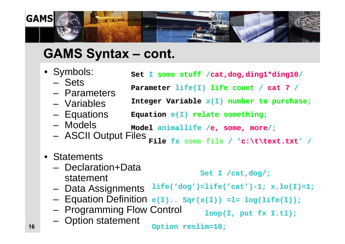

### **GAMS Syntax – cont.**

| • Symbols:             | Set I some stuff / cat, dog, ding1*ding10/                 |
|------------------------|------------------------------------------------------------|
| - Sets<br>- Parameters | Parameter life(I) life count / cat 7 /                     |
| - Variables            | Integer Variable $x(I)$ number to purchase;                |
| - Equations            | Equation $e(I)$ relate something;                          |
| - Models               | Model animallife /e, some, more/;                          |
|                        | - ASCII Output Files File fx some file / 'c:\t\text.txt' / |
| • Statements           |                                                            |

- –Declaration+Data statement Set I /cat,dog/;
- Data Assignments **life( 'dog ')=life( )=life( 'cat ')-1; x.lo(I)=1; 1; x.lo(I)=1;**
- Equation Definition **e(I).. Sqr(x(I)) =l= log(life(I)); e(I).. Sqr(x(I)) =l= log(life(I));**
- Programming Flow Control
- Option statement

**Option reslim=10; Option reslim=10;**

**loop(I, put fx I.tl); loop(I, put fx I.tl);**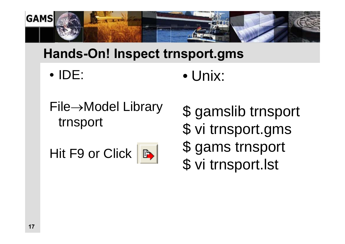![](_page_16_Picture_0.jpeg)

## **Hands-On! Inspect trnsport.gms**

- Unix: • IDE:
- File→Model Library trnsport

Hit F9 or Click |

![](_page_16_Picture_5.jpeg)

- \$ gamslib trnsport
- \$ vi trnsport.gms
- \$ gams trnsport
- \$ vi trnsport.lst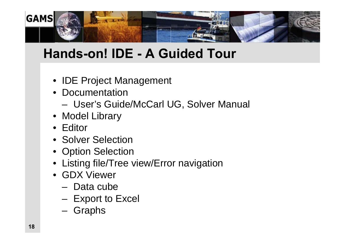![](_page_17_Picture_0.jpeg)

# **Hands-on! IDE - A Guided Tour**

- IDE Project Management
- Documentation
	- User's Guide/McCarl UG, Solver Manual
- Model Library
- Editor
- Solver Selection
- Option Selection
- Listing file/Tree view/Error navigation
- GDX Viewer
	- Data cube
	- $-$  Export to Excel
	- Graphs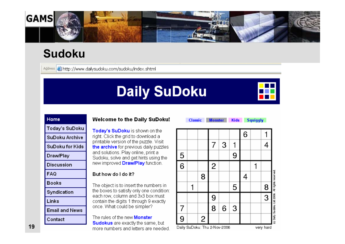![](_page_18_Picture_0.jpeg)

### **Sudoku**

Address **&** http://www.dailysudoku.com/sudoku/index.shtml

# **Daily SuDoku**

![](_page_18_Picture_4.jpeg)

**Monster Classic** 

Kids Squiggly

| Home            |
|-----------------|
| Today's SuDoku  |
| SuDoku Archive  |
| SuDoku for Kids |
| Draw/Play       |
| Discussion      |
| FAQ             |
| Books           |
| Syndication     |
| Links           |
| Email and News  |

Contact

#### **Welcome to the Daily SuDoku!**

Today's SuDoku is shown on the right. Click the grid to download a printable version of the puzzle. Visit the archive for previous daily puzzles and solutions. Play online, print a Sudoku, solve and get hints using the new improved **Draw/Play** function.

#### But how do I do it?

The object is to insert the numbers in the boxes to satisfy only one condition: each row, column and 3x3 box must contain the digits 1 through 9 exactly once. What could be simpler?

The rules of the new **Monster Sudokus** are exactly the same, but more numbers and letters are needed.

![](_page_18_Figure_14.jpeg)

Daily SuDoku: Thu 2-Nov-2006

very hard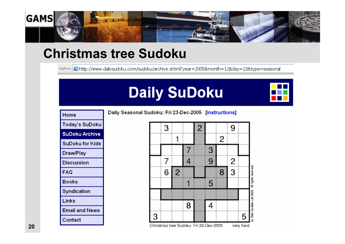![](_page_19_Picture_0.jpeg)

## **Christmas tree Sudoku**

Address **&** http://www.dailysudoku.com/sudoku/archive.shtml?year=2005&month=12&day=23&type=seasonal

# **Daily SuDoku**

Daily Seasonal Sudoku: Fri 23-Dec-2005 [instructions]

![](_page_19_Picture_4.jpeg)

| Home            |
|-----------------|
| Today's SuDoku  |
| SuDoku Archive  |
| SuDoku for Kids |
| Draw/Play       |
| Discussion      |
| FAQ             |
| Books           |
| Syndication     |
| Links           |
| Email and News  |
| Contact         |

#### $\overline{2}$  $\overline{2}$ All rights Daily Su dolu Ltd 2005 Christmas tree Sudoku: Fri 23-Dec-2005 very hard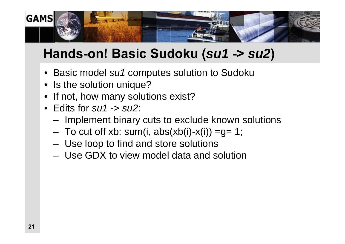![](_page_20_Picture_0.jpeg)

# **Hands-on! Basic Sudoku (***su1* **->** *su2***)**

- Basic model *su1* computes solution to Sudoku
- Is the solution unique?
- •If not, how many solutions exist?
- Edits for *su1* -> *su2*:
	- –- Implement binary cuts to exclude known solutions
	- To cut off xb: sum(i, abs(xb(i)-x(i)) =g= 1;
	- Use loop to find and store solutions
	- Use GDX to view model data and solution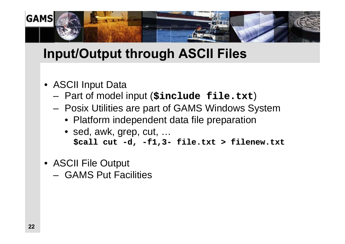![](_page_21_Picture_0.jpeg)

# **Input/Output through ASCII Files**

- ASCII Input Data
	- –Part of model input (**\$include file.txt \$include file.txt**)
	- Posix Utilities are part of GAMS Windows System
		- Platform independent data file preparation
		- sed, awk, grep, cut, … **\$call cut \$call cut -d, -f1,3- file.txt > filenew.txt file.txt > filenew.txt**
- ASCII File Output
	- GAMS Put Facilities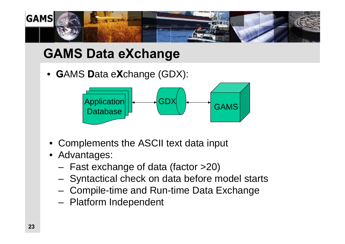![](_page_22_Picture_0.jpeg)

# **GAMS Data eXchange**

• **G**AMS **D**ata e**X**change (GDX):

![](_page_22_Figure_3.jpeg)

- Complements the ASCII text data input
- Advantages:
	- –Fast exchange of data (factor >20)
	- Syntactical check on data before model starts
	- $-$  Compile-time and Run-time Data Exchange
	- –- Platform Independent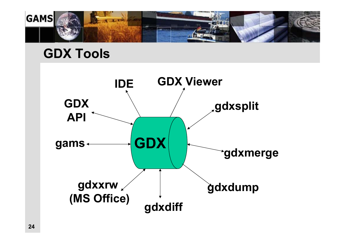![](_page_23_Picture_0.jpeg)

### **GDX Tools**

![](_page_23_Figure_2.jpeg)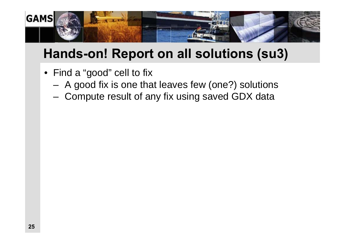![](_page_24_Picture_0.jpeg)

## **Hands-on! Report on all solutions (su3)**

- Find a "good" cell to fix
	- –A good fix is one that leaves few (one?) solutions
	- Compute result of any fix using saved GDX data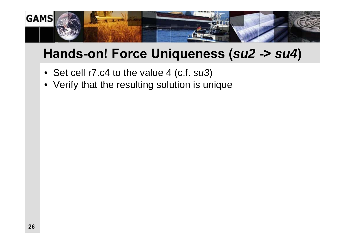![](_page_25_Picture_0.jpeg)

# **Hands-on! Force Uniqueness (***su2* **->** *su4***)**

- Set cell r7.c4 to the value 4 (c.f. *su3*)
- Verify that the resulting solution is unique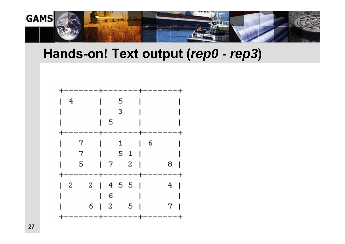![](_page_26_Picture_0.jpeg)

#### **Hands-on! Text output (***rep0* **-** *rep3***)**

![](_page_26_Figure_2.jpeg)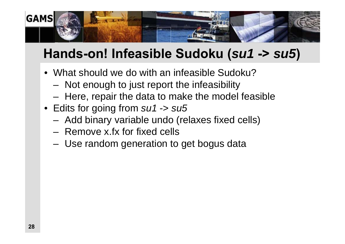![](_page_27_Picture_0.jpeg)

# **Hands-on! Infeasible Sudoku (***su1* **->** *su5***)**

- What should we do with an infeasible Sudoku?
	- –- Not enough to just report the infeasibility
	- Here, repair the data to make the model feasible
- Edits for going from *su1* -> *su5*
	- –Add binary variable undo (relaxes fixed cells)
	- Remove x.fx for fixed cells
	- Use random generation to get bogus data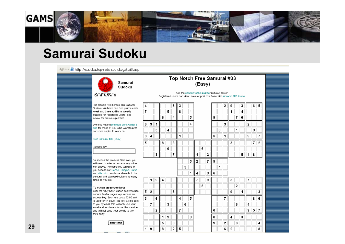![](_page_28_Picture_0.jpeg)

### **Samurai Sudoku**

![](_page_28_Figure_2.jpeg)

![](_page_28_Picture_3.jpeg)

The classic five merged grid Samurai Sudoku. We have one free puzzle each week and three additional weekly puzzles for registered users. See below for previous puzzles.

4

We also have a printable blank Gattai-5 grid for those of you who want to print out some copies to work on.

#### Free Samurai #33 (Easy)

Access key:

To access the premium Samurais, you will need to enter an access key in the box above. The same key will also let you access our Sensei, Shogun, Sumo and Wordoku puzzles and use both the samural and standard solvers as many times as you like.

#### To obtain an access key:

Click the "Buy now" button below to use secure PayPal pages to purchase an access key. Each key costs £2.00 and is valid for 14 days. The key will be sent to you by email. We will only use your email address to administer this service, and will not pass your details to any third party.

![](_page_28_Picture_11.jpeg)

#### Top Notch Free Samurai #33 (Easy)

Get the solution to this puzzle from our solver. Registered users can view, save or print this Samurai in Acrobat PDF format.

> 6  $\overline{2}$

|   |   |   |   | 5 |   | 8 |   | 1 |                          |
|---|---|---|---|---|---|---|---|---|--------------------------|
|   |   |   | 6 |   | 4 |   |   | 5 |                          |
| 5 | 3 | 1 |   |   |   |   |   | 4 |                          |
|   |   | 5 |   | 4 |   |   |   |   |                          |
| 3 | 4 |   |   |   |   | 1 |   |   |                          |
| 5 |   |   | 8 |   | 3 |   |   |   |                          |
|   |   |   |   | 6 |   |   |   |   |                          |
|   |   | 3 |   |   | 7 |   |   |   | 1                        |
|   |   |   |   |   |   |   |   | 5 | Ź                        |
|   |   |   |   |   |   |   | 3 |   |                          |
|   |   |   |   |   |   |   |   | 1 | $\overline{\phantom{a}}$ |
|   | 1 | 9 | 4 |   |   |   |   |   | 7                        |
|   |   |   |   |   |   |   |   |   |                          |
|   |   |   |   |   |   |   |   |   |                          |
| 5 | 2 |   |   |   | 8 |   |   |   |                          |
| 3 |   | 6 |   |   |   | 4 |   | 5 |                          |
|   | 7 |   |   | 3 |   |   | 6 |   |                          |
|   |   | 2 |   |   |   | 7 |   |   |                          |
|   |   |   | 1 | 9 |   |   |   | 3 |                          |
|   |   |   | 5 |   | 3 |   |   |   |                          |
| ۱ | 9 |   | 8 |   | 2 | 5 |   |   |                          |

8 3

|                         |   |   | 2 | 9 |   | 3 |                | 6 | 5              |
|-------------------------|---|---|---|---|---|---|----------------|---|----------------|
|                         |   |   |   | 1 |   | 4 |                |   |                |
|                         | 9 |   |   |   | 7 | 6 |                |   |                |
|                         |   |   | 3 |   |   |   | $\overline{2}$ |   |                |
|                         |   | 8 |   |   | 1 |   |                | 3 |                |
|                         | 5 |   | 1 |   |   |   | 9              |   | 7              |
|                         |   |   |   | 3 |   |   |                | 7 | $\overline{c}$ |
|                         |   |   |   |   |   |   |                |   |                |
| $\overline{\mathbf{c}}$ |   |   |   |   |   | 5 | 1              | 8 |                |
| 7                       | 9 |   |   |   |   |   |                |   |                |
|                         |   | 1 |   |   |   |   |                |   |                |
| 3                       | 6 |   |   |   |   |   |                |   |                |

| 9 |   |                         | 3 |   |   | 7 |   |   |
|---|---|-------------------------|---|---|---|---|---|---|
|   |   |                         |   | 2 |   |   |   |   |
|   |   |                         | 9 |   | 1 |   |   | 3 |
|   |   |                         |   |   |   |   | 8 | 6 |
|   |   |                         |   | 6 |   | 4 |   |   |
|   | 6 |                         |   |   |   | 9 | 5 |   |
|   | 8 |                         | 4 |   | 3 |   |   |   |
|   | 9 | $\overline{\mathbf{c}}$ |   | 8 |   |   |   | 4 |
|   |   | 6                       | 2 |   |   |   |   | 8 |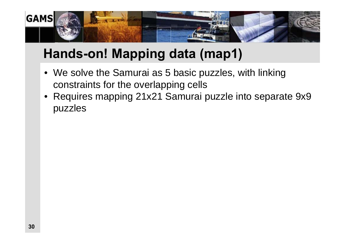![](_page_29_Picture_0.jpeg)

# **Hands-on! Mapping data (map1)**

- We solve the Samurai as 5 basic puzzles, with linking constraints for the overlapping cells
- • Requires mapping 21x21 Samurai puzzle into separate 9x9 puzzles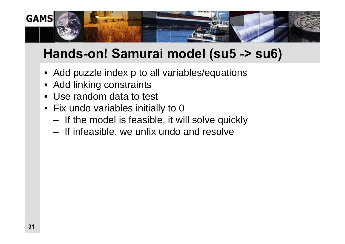![](_page_30_Picture_0.jpeg)

# **Hands-on! Samurai model (su5 -> su6)**

- Add puzzle index p to all variables/equations
- •Add linking constraints
- •Use random data to test
- Fix undo variables initially to 0
	- –- If the model is feasible, it will solve quickly
	- $-$  If infeasible, we unfix undo and resolve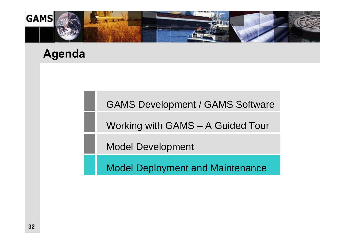![](_page_31_Picture_0.jpeg)

#### **Agenda**

#### GAMS Development / GAMS Software

Working with GAMS – A Guided Tour

Model Development

Model Deployment and Maintenance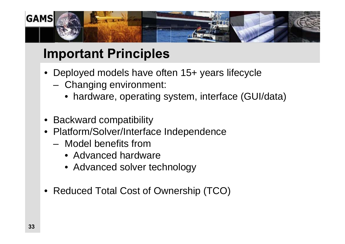![](_page_32_Picture_0.jpeg)

# **Important Principles**

- Deployed models have often 15+ years lifecycle
	- – Changing environment:
		- hardware, operating system, interface (GUI/data)
- Backward compatibility
- • Platform/Solver/Interface Independence
	- Model benefits from
		- Advanced hardware
		- Advanced solver technology
- •Reduced Total Cost of Ownership (TCO)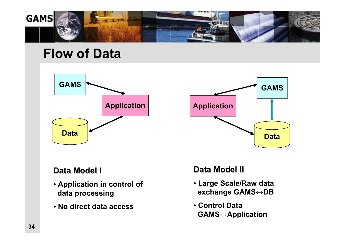![](_page_33_Picture_0.jpeg)

### **Flow of Data**

![](_page_33_Figure_2.jpeg)

![](_page_33_Figure_3.jpeg)

#### **Data Model I Data Model I**

- **Application in control of data processing**
- **No direct data access**

#### **Data Model II Data Model II**

- **Large Scale/Raw data exchange GAMS↔DB**
- **Control DataGAMS↔Application**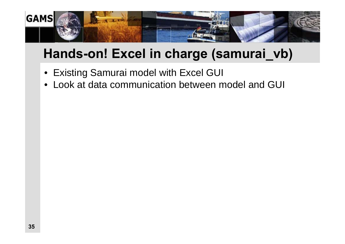![](_page_34_Picture_0.jpeg)

# **Hands-on! Excel in charge (samurai\_vb)**

- Existing Samurai model with Excel GUI
- •Look at data communication between model and GUI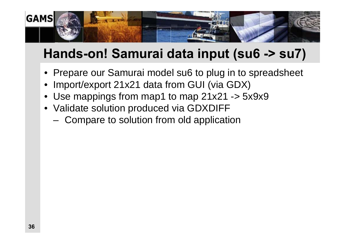![](_page_35_Picture_0.jpeg)

# **Hands-on! Samurai data input (su6 -> su7)**

- Prepare our Samurai model su6 to plug in to spreadsheet
- •Import/export 21x21 data from GUI (via GDX)
- Use mappings from map1 to map 21x21 -> 5x9x9
- Validate solution produced via GDXDIFF
	- –Compare to solution from old application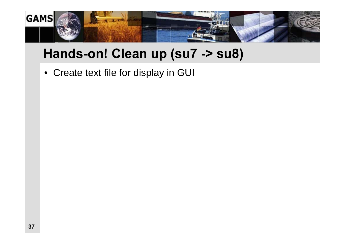![](_page_36_Picture_0.jpeg)

# **Hands-on! Clean up (su7 -> su8)**

• Create text file for display in GUI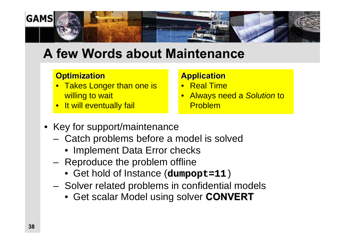![](_page_37_Picture_0.jpeg)

## **A few Words about Maintenance**

#### **Optimization**

- $\bullet$ **Takes Longer than one is** willing to wait
- •It will eventually fail

#### **Application**

- $\bullet$ Real Time
- $\bullet$  Always need a *Solution* to Problem
- Key for support/maintenance
	- Catch problems before a model is solved
		- Implement Data Error checks
	- – Reproduce the problem offline
		- Get hold of Instance (**dumpopt=11**)
	- Solver related problems in confidential models
		- Get scalar Model using solver **CONVERT CONVERT**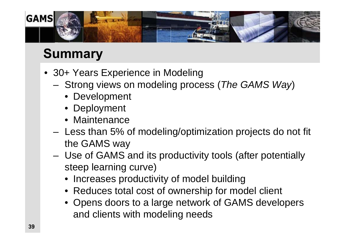![](_page_38_Picture_0.jpeg)

# **Summary**

- 30+ Years Experience in Modeling
	- – Strong views on modeling process (*The GAMS Way*)
		- Development
		- Deployment
		- Maintenance
	- Less than 5% of modeling/optimization projects do not fit the GAMS way
	- – Use of GAMS and its productivity tools (after potentially steep learning curve)
		- Increases productivity of model building
		- Reduces total cost of ownership for model client
		- Opens doors to a large network of GAMS developers and clients with modeling needs